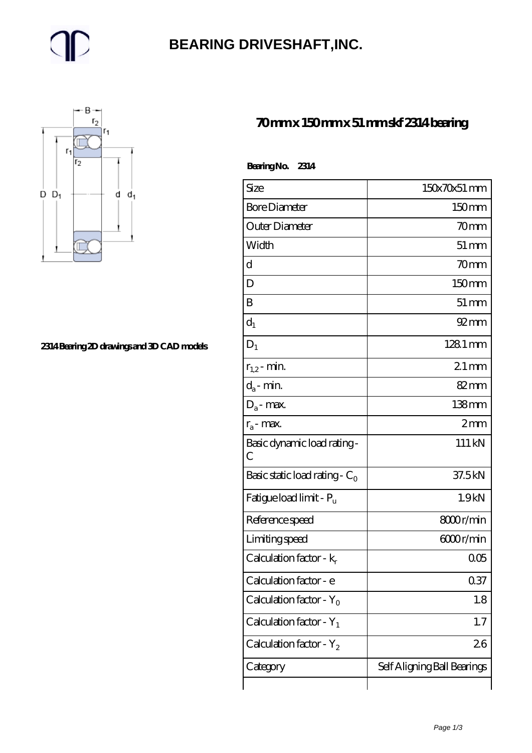### **[BEARING DRIVESHAFT,INC.](https://m.trendco-vick.com)**



#### **[2314 Bearing 2D drawings and 3D CAD models](https://m.trendco-vick.com/pic-411520.html)**

#### **[70 mm x 150 mm x 51 mm skf 2314 bearing](https://m.trendco-vick.com/skf-2314-bearing/)**

| Bearing No. 2314                    |                             |
|-------------------------------------|-----------------------------|
| Size                                | $150x70x51$ mm              |
| <b>Bore Diameter</b>                | 150mm                       |
| Outer Diameter                      | 70mm                        |
| Width                               | $51 \, \text{mm}$           |
| d                                   | 70mm                        |
| D                                   | 150mm                       |
| B                                   | $51 \,\mathrm{mm}$          |
| $d_1$                               | $92 \, \text{mm}$           |
| $D_1$                               | $1281$ mm                   |
| $r_{1,2}$ - min.                    | $21 \,\mathrm{mm}$          |
| $d_a$ - min.                        | $82 \text{mm}$              |
| $D_a$ - max.                        | $138$ mm                    |
| $r_a$ - max.                        | 2mm                         |
| Basic dynamic load rating -<br>С    | 111 kN                      |
| Basic static load rating - $C_0$    | 37.5kN                      |
| Fatigue load limit - P <sub>u</sub> | 1.9kN                       |
| Reference speed                     | 8000r/min                   |
| Limiting speed                      | 6000r/min                   |
| Calculation factor - k <sub>r</sub> | 005                         |
| Calculation factor - e              | 0.37                        |
| Calculation factor - $Y_0$          | 1.8                         |
| Calculation factor - $Y_1$          | 1.7                         |
| Calculation factor - $Y_2$          | 26                          |
| Category                            | Self Aligning Ball Bearings |
|                                     |                             |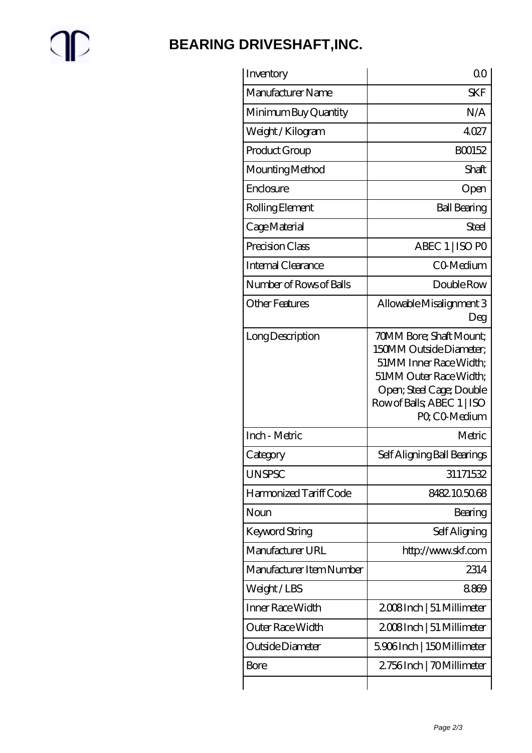# $\mathbb{P}$

## **[BEARING DRIVESHAFT,INC.](https://m.trendco-vick.com)**

| Inventory                | 00                                                                                                                                                                                       |
|--------------------------|------------------------------------------------------------------------------------------------------------------------------------------------------------------------------------------|
| Manufacturer Name        | <b>SKF</b>                                                                                                                                                                               |
| Minimum Buy Quantity     | N/A                                                                                                                                                                                      |
| Weight/Kilogram          | 4027                                                                                                                                                                                     |
| Product Group            | BO0152                                                                                                                                                                                   |
| Mounting Method          | Shaft                                                                                                                                                                                    |
| Enclosure                | Open                                                                                                                                                                                     |
| Rolling Element          | <b>Ball Bearing</b>                                                                                                                                                                      |
| Cage Material            | Steel                                                                                                                                                                                    |
| Precision Class          | ABEC 1   ISO PO                                                                                                                                                                          |
| Internal Clearance       | CO-Medium                                                                                                                                                                                |
| Number of Rows of Balls  | Double Row                                                                                                                                                                               |
| Other Features           | Allowable Misalignment 3<br>Deg                                                                                                                                                          |
| Long Description         | <b>70MM Bore; Shaft Mount;</b><br>150MM Outside Diameter:<br>51MM Inner Race Width;<br>51MM Outer Race Width;<br>Open; Steel Cage; Double<br>Row of Balls, ABEC 1   ISO<br>PO, CO-Medium |
| Inch - Metric            | Metric                                                                                                                                                                                   |
| Category                 | Self Aligning Ball Bearings                                                                                                                                                              |
| <b>UNSPSC</b>            | 31171532                                                                                                                                                                                 |
| Harmonized Tariff Code   | 8482105068                                                                                                                                                                               |
| Noun                     | Bearing                                                                                                                                                                                  |
| <b>Keyword String</b>    | Self Aligning                                                                                                                                                                            |
| Manufacturer URL         | http://www.skf.com                                                                                                                                                                       |
| Manufacturer Item Number | 2314                                                                                                                                                                                     |
| Weight/LBS               | 8869                                                                                                                                                                                     |
| <b>Inner Race Width</b>  | 2008Inch   51 Millimeter                                                                                                                                                                 |
| Outer Race Width         | 2008Inch   51 Millimeter                                                                                                                                                                 |
| Outside Diameter         | 5906Inch   150Millimeter                                                                                                                                                                 |
| <b>Bore</b>              | 2756Inch   70Millimeter                                                                                                                                                                  |
|                          |                                                                                                                                                                                          |